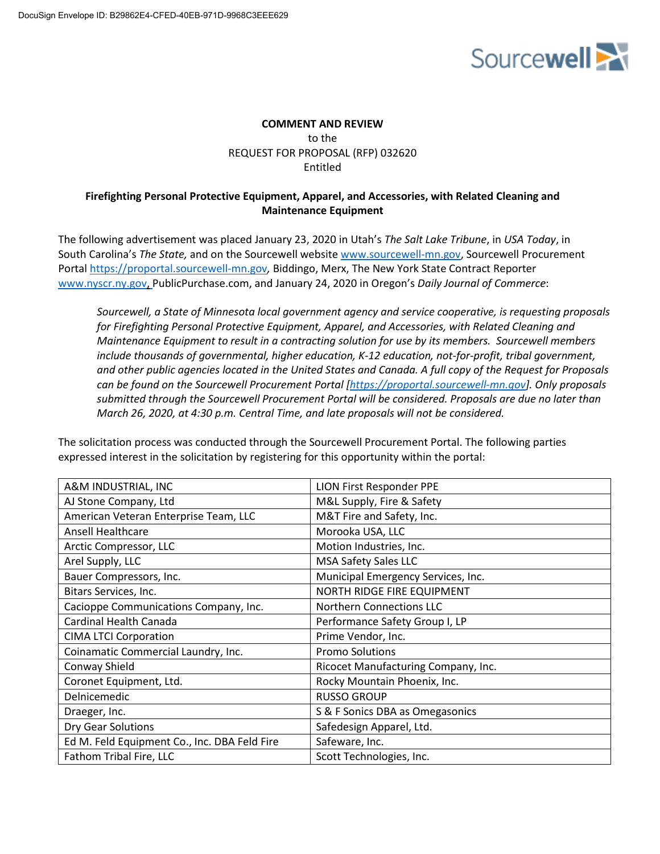

# **COMMENT AND REVIEW** to the REQUEST FOR PROPOSAL (RFP) 032620 Entitled

# **Firefighting Personal Protective Equipment, Apparel, and Accessories, with Related Cleaning and Maintenance Equipment**

The following advertisement was placed January 23, 2020 in Utah's *The Salt Lake Tribune*, in *USA Today*, in South Carolina's *The State,* and on the Sourcewell website www.sourcewell-mn.gov, Sourcewell Procurement Portal https://proportal.sourcewell-mn.gov*,* Biddingo, Merx, The New York State Contract Reporter www.nyscr.ny.gov, PublicPurchase.com, and January 24, 2020 in Oregon's *Daily Journal of Commerce*:

*Sourcewell, a State of Minnesota local government agency and service cooperative, is requesting proposals for Firefighting Personal Protective Equipment, Apparel, and Accessories, with Related Cleaning and Maintenance Equipment to result in a contracting solution for use by its members. Sourcewell members include thousands of governmental, higher education, K-12 education, not-for-profit, tribal government, and other public agencies located in the United States and Canada. A full copy of the Request for Proposals can be found on the Sourcewell Procurement Portal [https://proportal.sourcewell-mn.gov]. Only proposals submitted through the Sourcewell Procurement Portal will be considered. Proposals are due no later than March 26, 2020, at 4:30 p.m. Central Time, and late proposals will not be considered.*

The solicitation process was conducted through the Sourcewell Procurement Portal. The following parties expressed interest in the solicitation by registering for this opportunity within the portal:

| A&M INDUSTRIAL, INC                          | <b>LION First Responder PPE</b>     |
|----------------------------------------------|-------------------------------------|
| AJ Stone Company, Ltd                        | M&L Supply, Fire & Safety           |
| American Veteran Enterprise Team, LLC        | M&T Fire and Safety, Inc.           |
| <b>Ansell Healthcare</b>                     | Morooka USA, LLC                    |
| Arctic Compressor, LLC                       | Motion Industries, Inc.             |
| Arel Supply, LLC                             | <b>MSA Safety Sales LLC</b>         |
| Bauer Compressors, Inc.                      | Municipal Emergency Services, Inc.  |
| Bitars Services, Inc.                        | NORTH RIDGE FIRE EQUIPMENT          |
| Cacioppe Communications Company, Inc.        | <b>Northern Connections LLC</b>     |
| Cardinal Health Canada                       | Performance Safety Group I, LP      |
| <b>CIMA LTCI Corporation</b>                 | Prime Vendor, Inc.                  |
| Coinamatic Commercial Laundry, Inc.          | <b>Promo Solutions</b>              |
| Conway Shield                                | Ricocet Manufacturing Company, Inc. |
| Coronet Equipment, Ltd.                      | Rocky Mountain Phoenix, Inc.        |
| Delnicemedic                                 | <b>RUSSO GROUP</b>                  |
| Draeger, Inc.                                | S & F Sonics DBA as Omegasonics     |
| Dry Gear Solutions                           | Safedesign Apparel, Ltd.            |
| Ed M. Feld Equipment Co., Inc. DBA Feld Fire | Safeware, Inc.                      |
| Fathom Tribal Fire, LLC                      | Scott Technologies, Inc.            |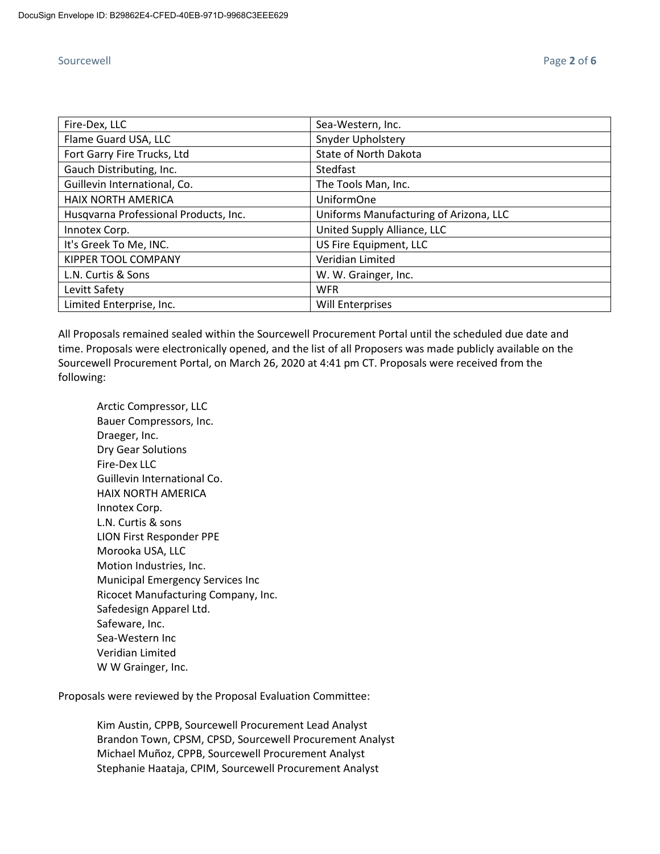| Fire-Dex, LLC                         | Sea-Western, Inc.                      |
|---------------------------------------|----------------------------------------|
| Flame Guard USA, LLC                  | Snyder Upholstery                      |
| Fort Garry Fire Trucks, Ltd           | State of North Dakota                  |
| Gauch Distributing, Inc.              | Stedfast                               |
| Guillevin International, Co.          | The Tools Man, Inc.                    |
| <b>HAIX NORTH AMERICA</b>             | <b>UniformOne</b>                      |
| Husqvarna Professional Products, Inc. | Uniforms Manufacturing of Arizona, LLC |
| Innotex Corp.                         | United Supply Alliance, LLC            |
| It's Greek To Me, INC.                | US Fire Equipment, LLC                 |
| <b>KIPPER TOOL COMPANY</b>            | Veridian Limited                       |
| L.N. Curtis & Sons                    | W. W. Grainger, Inc.                   |
| Levitt Safety                         | <b>WFR</b>                             |
| Limited Enterprise, Inc.              | <b>Will Enterprises</b>                |

All Proposals remained sealed within the Sourcewell Procurement Portal until the scheduled due date and time. Proposals were electronically opened, and the list of all Proposers was made publicly available on the Sourcewell Procurement Portal, on March 26, 2020 at 4:41 pm CT. Proposals were received from the following:

Arctic Compressor, LLC Bauer Compressors, Inc. Draeger, Inc. Dry Gear Solutions Fire-Dex LLC Guillevin International Co. HAIX NORTH AMERICA Innotex Corp. L.N. Curtis & sons LION First Responder PPE Morooka USA, LLC Motion Industries, Inc. Municipal Emergency Services Inc Ricocet Manufacturing Company, Inc. Safedesign Apparel Ltd. Safeware, Inc. Sea-Western Inc Veridian Limited W W Grainger, Inc.

Proposals were reviewed by the Proposal Evaluation Committee:

Kim Austin, CPPB, Sourcewell Procurement Lead Analyst Brandon Town, CPSM, CPSD, Sourcewell Procurement Analyst Michael Muñoz, CPPB, Sourcewell Procurement Analyst Stephanie Haataja, CPIM, Sourcewell Procurement Analyst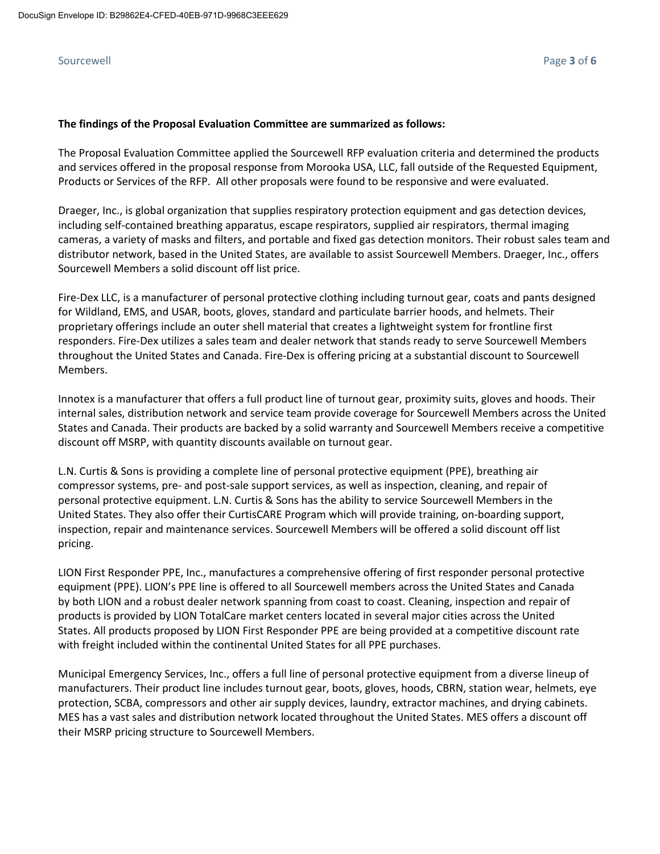## Sourcewell Page **3** of **6**

## **The findings of the Proposal Evaluation Committee are summarized as follows:**

The Proposal Evaluation Committee applied the Sourcewell RFP evaluation criteria and determined the products and services offered in the proposal response from Morooka USA, LLC, fall outside of the Requested Equipment, Products or Services of the RFP. All other proposals were found to be responsive and were evaluated.

Draeger, Inc., is global organization that supplies respiratory protection equipment and gas detection devices, including self-contained breathing apparatus, escape respirators, supplied air respirators, thermal imaging cameras, a variety of masks and filters, and portable and fixed gas detection monitors. Their robust sales team and distributor network, based in the United States, are available to assist Sourcewell Members. Draeger, Inc., offers Sourcewell Members a solid discount off list price.

Fire-Dex LLC, is a manufacturer of personal protective clothing including turnout gear, coats and pants designed for Wildland, EMS, and USAR, boots, gloves, standard and particulate barrier hoods, and helmets. Their proprietary offerings include an outer shell material that creates a lightweight system for frontline first responders. Fire-Dex utilizes a sales team and dealer network that stands ready to serve Sourcewell Members throughout the United States and Canada. Fire-Dex is offering pricing at a substantial discount to Sourcewell Members.

Innotex is a manufacturer that offers a full product line of turnout gear, proximity suits, gloves and hoods. Their internal sales, distribution network and service team provide coverage for Sourcewell Members across the United States and Canada. Their products are backed by a solid warranty and Sourcewell Members receive a competitive discount off MSRP, with quantity discounts available on turnout gear.

L.N. Curtis & Sons is providing a complete line of personal protective equipment (PPE), breathing air compressor systems, pre- and post-sale support services, as well as inspection, cleaning, and repair of personal protective equipment. L.N. Curtis & Sons has the ability to service Sourcewell Members in the United States. They also offer their CurtisCARE Program which will provide training, on-boarding support, inspection, repair and maintenance services. Sourcewell Members will be offered a solid discount off list pricing.

LION First Responder PPE, Inc., manufactures a comprehensive offering of first responder personal protective equipment (PPE). LION's PPE line is offered to all Sourcewell members across the United States and Canada by both LION and a robust dealer network spanning from coast to coast. Cleaning, inspection and repair of products is provided by LION TotalCare market centers located in several major cities across the United States. All products proposed by LION First Responder PPE are being provided at a competitive discount rate with freight included within the continental United States for all PPE purchases.

Municipal Emergency Services, Inc., offers a full line of personal protective equipment from a diverse lineup of manufacturers. Their product line includes turnout gear, boots, gloves, hoods, CBRN, station wear, helmets, eye protection, SCBA, compressors and other air supply devices, laundry, extractor machines, and drying cabinets. MES has a vast sales and distribution network located throughout the United States. MES offers a discount off their MSRP pricing structure to Sourcewell Members.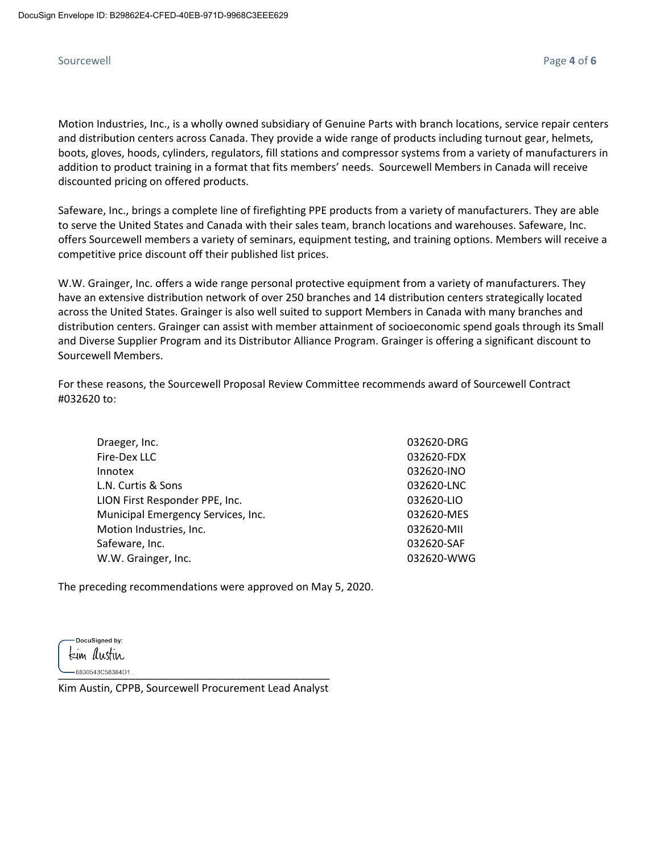Motion Industries, Inc., is a wholly owned subsidiary of Genuine Parts with branch locations, service repair centers and distribution centers across Canada. They provide a wide range of products including turnout gear, helmets, boots, gloves, hoods, cylinders, regulators, fill stations and compressor systems from a variety of manufacturers in addition to product training in a format that fits members' needs. Sourcewell Members in Canada will receive discounted pricing on offered products.

Safeware, Inc., brings a complete line of firefighting PPE products from a variety of manufacturers. They are able to serve the United States and Canada with their sales team, branch locations and warehouses. Safeware, Inc. offers Sourcewell members a variety of seminars, equipment testing, and training options. Members will receive a competitive price discount off their published list prices.

W.W. Grainger, Inc. offers a wide range personal protective equipment from a variety of manufacturers. They have an extensive distribution network of over 250 branches and 14 distribution centers strategically located across the United States. Grainger is also well suited to support Members in Canada with many branches and distribution centers. Grainger can assist with member attainment of socioeconomic spend goals through its Small and Diverse Supplier Program and its Distributor Alliance Program. Grainger is offering a significant discount to Sourcewell Members.

For these reasons, the Sourcewell Proposal Review Committee recommends award of Sourcewell Contract #032620 to:

| Draeger, Inc.                      | 032620-DRG |
|------------------------------------|------------|
| Fire-Dex LLC                       | 032620-FDX |
| Innotex                            | 032620-INO |
| L.N. Curtis & Sons                 | 032620-LNC |
| LION First Responder PPE, Inc.     | 032620-LIO |
| Municipal Emergency Services, Inc. | 032620-MES |
| Motion Industries, Inc.            | 032620-MII |
| Safeware, Inc.                     | 032620-SAF |
| W.W. Grainger, Inc.                | 032620-WWG |

The preceding recommendations were approved on May 5, 2020.

DocuSigned by: kim *I*lustin.  $-6830543C58384D1...$ 

Kim Austin, CPPB, Sourcewell Procurement Lead Analyst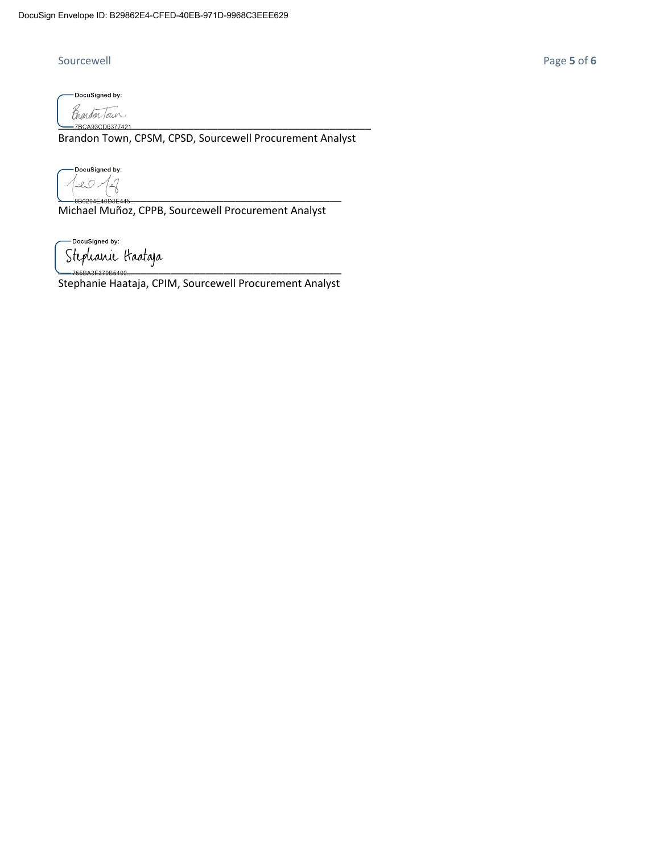-DocuSigned by: p<br>manden Tour

Brandon Town, CPSM, CPSD, Sourcewell Procurement Analyst

DocuSigned by:  $20$  $-2$ \_\_\_\_\_\_\_\_\_\_\_\_\_\_\_\_\_\_\_\_\_\_\_\_\_\_\_\_\_\_\_\_\_\_\_\_\_\_\_\_\_\_\_\_\_\_\_\_

Michael Muñoz, CPPB, Sourcewell Procurement Analyst

-DocuSigned by: \_\_\_\_\_\_\_\_\_\_\_\_\_\_\_\_\_\_\_\_\_\_\_\_\_\_\_\_\_\_\_\_\_\_\_\_\_\_\_\_\_\_\_\_\_\_\_\_

Stephanie Haataja, CPIM, Sourcewell Procurement Analyst